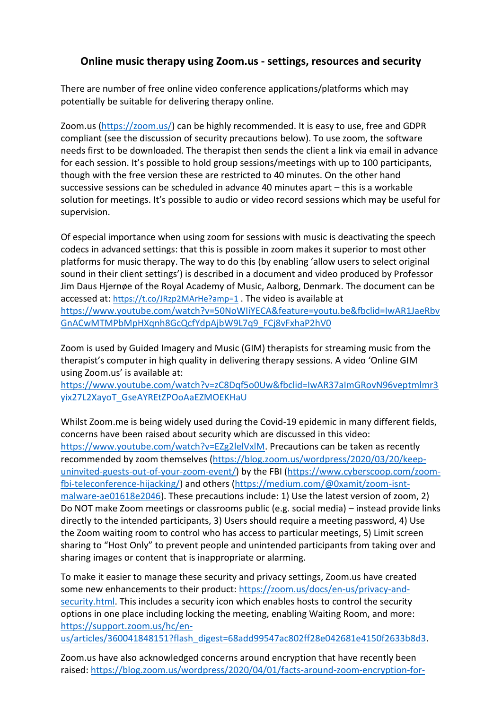## **Online music therapy using Zoom.us - settings, resources and security**

There are number of free online video conference applications/platforms which may potentially be suitable for delivering therapy online.

Zoom.us [\(https://zoom.us/\)](https://zoom.us/) can be highly recommended. It is easy to use, free and GDPR compliant (see the discussion of security precautions below). To use zoom, the software needs first to be downloaded. The therapist then sends the client a link via email in advance for each session. It's possible to hold group sessions/meetings with up to 100 participants, though with the free version these are restricted to 40 minutes. On the other hand successive sessions can be scheduled in advance 40 minutes apart – this is a workable solution for meetings. It's possible to audio or video record sessions which may be useful for supervision.

Of especial importance when using zoom for sessions with music is deactivating the speech codecs in advanced settings: that this is possible in zoom makes it superior to most other platforms for music therapy. The way to do this (by enabling 'allow users to select original sound in their client settings') is described in a document and video produced by Professor Jim Daus Hjernøe of the Royal Academy of Music, Aalborg, Denmark. The document can be accessed at: <https://t.co/JRzp2MArHe?amp=1> . The video is available at [https://www.youtube.com/watch?v=50NoWIiYECA&feature=youtu.be&fbclid=IwAR1JaeRbv](https://www.youtube.com/watch?v=50NoWIiYECA&feature=youtu.be&fbclid=IwAR1JaeRbvGnACwMTMPbMpHXqnh8GcQcfYdpAjbW9L7q9_FCj8vFxhaP2hV0) [GnACwMTMPbMpHXqnh8GcQcfYdpAjbW9L7q9\\_FCj8vFxhaP2hV0](https://www.youtube.com/watch?v=50NoWIiYECA&feature=youtu.be&fbclid=IwAR1JaeRbvGnACwMTMPbMpHXqnh8GcQcfYdpAjbW9L7q9_FCj8vFxhaP2hV0)

Zoom is used by Guided Imagery and Music (GIM) therapists for streaming music from the therapist's computer in high quality in delivering therapy sessions. A video 'Online GIM using Zoom.us' is available at:

[https://www.youtube.com/watch?v=zC8Dqf5o0Uw&fbclid=IwAR37aImGRovN96veptmlmr3](https://www.youtube.com/watch?v=zC8Dqf5o0Uw&fbclid=IwAR37aImGRovN96veptmlmr3yix27L2XayoT_GseAYREtZPOoAaEZMOEKHaU) [yix27L2XayoT\\_GseAYREtZPOoAaEZMOEKHaU](https://www.youtube.com/watch?v=zC8Dqf5o0Uw&fbclid=IwAR37aImGRovN96veptmlmr3yix27L2XayoT_GseAYREtZPOoAaEZMOEKHaU)

Whilst Zoom.me is being widely used during the Covid-19 epidemic in many different fields, concerns have been raised about security which are discussed in this video: [https://www.youtube.com/watch?v=EZg2lelVxlM.](https://www.youtube.com/watch?v=EZg2lelVxlM) Precautions can be taken as recently recommended by zoom themselves [\(https://blog.zoom.us/wordpress/2020/03/20/keep](https://blog.zoom.us/wordpress/2020/03/20/keep-uninvited-guests-out-of-your-zoom-event/)[uninvited-guests-out-of-your-zoom-event/\)](https://blog.zoom.us/wordpress/2020/03/20/keep-uninvited-guests-out-of-your-zoom-event/) by the FBI [\(https://www.cyberscoop.com/zoom](https://www.cyberscoop.com/zoom-fbi-teleconference-hijacking/)[fbi-teleconference-hijacking/\)](https://www.cyberscoop.com/zoom-fbi-teleconference-hijacking/) and others [\(https://medium.com/@0xamit/zoom-isnt](https://medium.com/@0xamit/zoom-isnt-malware-ae01618e2046)[malware-ae01618e2046\)](https://medium.com/@0xamit/zoom-isnt-malware-ae01618e2046). These precautions include: 1) Use the latest version of zoom, 2) Do NOT make Zoom meetings or classrooms public (e.g. social media) – instead provide links directly to the intended participants, 3) Users should require a meeting password, 4) Use the Zoom waiting room to control who has access to particular meetings, 5) Limit screen sharing to "Host Only" to prevent people and unintended participants from taking over and sharing images or content that is inappropriate or alarming.

To make it easier to manage these security and privacy settings, Zoom.us have created some new enhancements to their product: [https://zoom.us/docs/en-us/privacy-and](https://zoom.us/docs/en-us/privacy-and-security.html)[security.html.](https://zoom.us/docs/en-us/privacy-and-security.html) This includes a security icon which enables hosts to control the security options in one place including locking the meeting, enabling Waiting Room, and more: [https://support.zoom.us/hc/en-](https://support.zoom.us/hc/en-us/articles/360041848151?flash_digest=68add99547ac802ff28e042681e4150f2633b8d3)

[us/articles/360041848151?flash\\_digest=68add99547ac802ff28e042681e4150f2633b8d3.](https://support.zoom.us/hc/en-us/articles/360041848151?flash_digest=68add99547ac802ff28e042681e4150f2633b8d3)

Zoom.us have also acknowledged concerns around encryption that have recently been raised: [https://blog.zoom.us/wordpress/2020/04/01/facts-around-zoom-encryption-for-](https://blog.zoom.us/wordpress/2020/04/01/facts-around-zoom-encryption-for-meetings-webinars/)